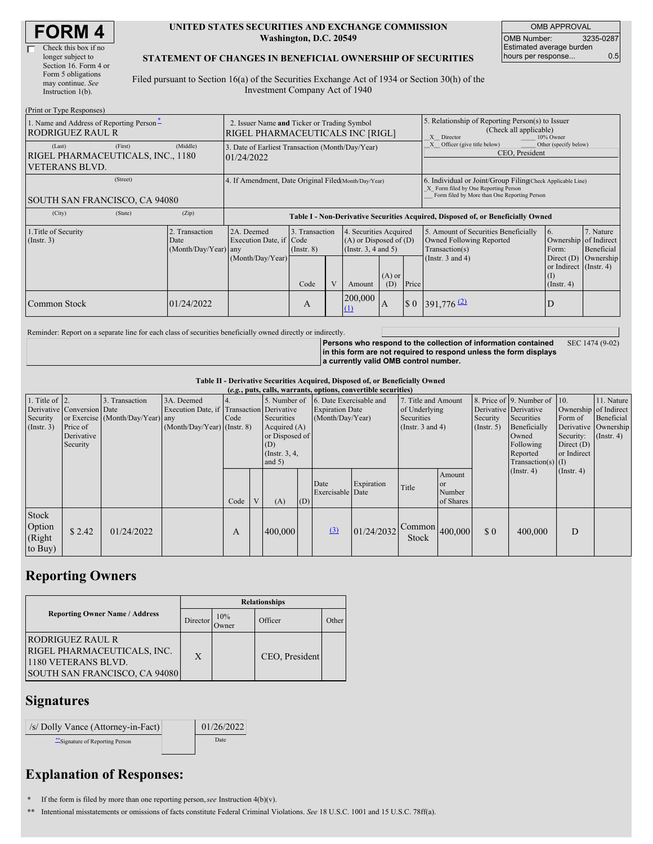#### **UNITED STATES SECURITIES AND EXCHANGE COMMISSION Washington, D.C. 20549**

OMB APPROVAL OMB Number: 3235-0287 Estimated average burden hours per response... 0.5

### **STATEMENT OF CHANGES IN BENEFICIAL OWNERSHIP OF SECURITIES**

Filed pursuant to Section 16(a) of the Securities Exchange Act of 1934 or Section 30(h) of the Investment Company Act of 1940

| (Print or Type Responses)                                                                  |                                                                                        |                                                                                  |                                   |  |                                                                              |                 |                                                                                                       |                                                                                                                                                    |                                                   |                                                     |  |
|--------------------------------------------------------------------------------------------|----------------------------------------------------------------------------------------|----------------------------------------------------------------------------------|-----------------------------------|--|------------------------------------------------------------------------------|-----------------|-------------------------------------------------------------------------------------------------------|----------------------------------------------------------------------------------------------------------------------------------------------------|---------------------------------------------------|-----------------------------------------------------|--|
| 1. Name and Address of Reporting Person-<br><b>RODRIGUEZ RAUL R</b>                        | 2. Issuer Name and Ticker or Trading Symbol<br><b>RIGEL PHARMACEUTICALS INC [RIGL]</b> |                                                                                  |                                   |  |                                                                              |                 | 5. Relationship of Reporting Person(s) to Issuer<br>(Check all applicable)<br>10% Owner<br>X Director |                                                                                                                                                    |                                                   |                                                     |  |
| (First)<br>(Last)<br>RIGEL PHARMACEUTICALS, INC., 1180<br><b>VETERANS BLVD.</b>            | (Middle)                                                                               | 3. Date of Earliest Transaction (Month/Day/Year)<br>01/24/2022                   |                                   |  |                                                                              |                 | Officer (give title below)<br>Other (specify below)<br>CEO, President                                 |                                                                                                                                                    |                                                   |                                                     |  |
| (Street)<br><b>SOUTH SAN FRANCISCO, CA 94080</b>                                           |                                                                                        | 4. If Amendment, Date Original Filed(Month/Day/Year)                             |                                   |  |                                                                              |                 |                                                                                                       | 6. Individual or Joint/Group Filing(Check Applicable Line)<br>X Form filed by One Reporting Person<br>Form filed by More than One Reporting Person |                                                   |                                                     |  |
| (City)<br>(State)                                                                          | (Zip)                                                                                  | Table I - Non-Derivative Securities Acquired, Disposed of, or Beneficially Owned |                                   |  |                                                                              |                 |                                                                                                       |                                                                                                                                                    |                                                   |                                                     |  |
| 1. Title of Security<br>2. Transaction<br>$($ Instr. 3 $)$<br>Date<br>(Month/Day/Year) any |                                                                                        | 2A. Deemed<br>Execution Date, if Code<br>(Month/Day/Year)                        | 3. Transaction<br>$($ Instr. $8)$ |  | 4. Securities Acquired<br>$(A)$ or Disposed of $(D)$<br>(Insert. 3, 4 and 5) |                 |                                                                                                       | 5. Amount of Securities Beneficially<br>Owned Following Reported<br>Transaction(s)<br>(Instr. $3$ and $4$ )                                        | 6.<br>Ownership<br>Form:<br>Direct $(D)$          | 7. Nature<br>of Indirect<br>Beneficial<br>Ownership |  |
|                                                                                            |                                                                                        |                                                                                  | Code                              |  | Amount                                                                       | $(A)$ or<br>(D) | Price                                                                                                 |                                                                                                                                                    | or Indirect (Instr. 4)<br>(1)<br>$($ Instr. 4 $)$ |                                                     |  |
| Common Stock                                                                               | 01/24/2022                                                                             |                                                                                  | A                                 |  | 200,000<br>$\Omega$                                                          | IA              | $\Omega$                                                                                              | $391,776$ <sup>(2)</sup>                                                                                                                           | D                                                 |                                                     |  |

Reminder: Report on a separate line for each class of securities beneficially owned directly or indirectly.

**Persons who respond to the collection of information contained in this form are not required to respond unless the form displays a currently valid OMB control number.** SEC 1474 (9-02)

**Table II - Derivative Securities Acquired, Disposed of, or Beneficially Owned**

| (e.g., puts, calls, warrants, options, convertible securities) |                                                                  |                                                    |                                                                                        |      |   |                                                                                                      |     |                                                                       |            |                                                                             |                                            |                                                    |                                                                                                                      |                                                                                                             |                                                  |
|----------------------------------------------------------------|------------------------------------------------------------------|----------------------------------------------------|----------------------------------------------------------------------------------------|------|---|------------------------------------------------------------------------------------------------------|-----|-----------------------------------------------------------------------|------------|-----------------------------------------------------------------------------|--------------------------------------------|----------------------------------------------------|----------------------------------------------------------------------------------------------------------------------|-------------------------------------------------------------------------------------------------------------|--------------------------------------------------|
| 1. Title of $ 2$ .<br>Security<br>(Insert. 3)                  | Derivative Conversion Date<br>Price of<br>Derivative<br>Security | 3. Transaction<br>or Exercise (Month/Day/Year) any | 3A. Deemed<br>Execution Date, if Transaction Derivative<br>(Month/Day/Year) (Instr. 8) | Code |   | 5. Number of<br>Securities<br>Acquired $(A)$<br>or Disposed of<br>(D)<br>(Instr. $3, 4,$<br>and $5)$ |     | 6. Date Exercisable and<br><b>Expiration Date</b><br>(Month/Day/Year) |            | 7. Title and Amount<br>of Underlying<br>Securities<br>(Instr. $3$ and $4$ ) |                                            | Derivative Derivative<br>Security<br>$($ Instr. 5) | 8. Price of 9. Number of 10.<br>Securities<br>Beneficially<br>Owned<br>Following<br>Reported<br>$Transaction(s)$ (I) | Ownership of Indirect<br>Form of<br>Security: (Instr. 4)<br>Direct $(D)$<br>or Indirect<br>$($ Instr. 4 $)$ | 11. Nature<br>Beneficial<br>Derivative Ownership |
|                                                                |                                                                  |                                                    |                                                                                        | Code | V | (A)                                                                                                  | (D) | Date<br>Exercisable Date                                              | Expiration | Title                                                                       | Amount<br><b>or</b><br>Number<br>of Shares |                                                    | $($ Instr. 4 $)$                                                                                                     |                                                                                                             |                                                  |
| Stock<br>Option<br>(Right<br>to Buy)                           | \$2.42                                                           | 01/24/2022                                         |                                                                                        | А    |   | 400,000                                                                                              |     | (3)                                                                   | 01/24/2032 | Common<br>Stock                                                             | 400,000                                    | \$0                                                | 400,000                                                                                                              | D                                                                                                           |                                                  |

# **Reporting Owners**

|                                                                                                         | <b>Relationships</b> |                      |                |       |  |  |  |  |
|---------------------------------------------------------------------------------------------------------|----------------------|----------------------|----------------|-------|--|--|--|--|
| <b>Reporting Owner Name / Address</b>                                                                   | Director             | 10%<br><b>D</b> wner | Officer        | Other |  |  |  |  |
| RODRIGUEZ RAUL R<br>RIGEL PHARMACEUTICALS, INC.<br>1180 VETERANS BLVD.<br>SOUTH SAN FRANCISCO, CA 94080 | X                    |                      | CEO, President |       |  |  |  |  |

## **Signatures**

| /s/ Dolly Vance (Attorney-in-Fact) | 01/26/2022 |
|------------------------------------|------------|
| ** Signature of Reporting Person   | Date       |

## **Explanation of Responses:**

**\*** If the form is filed by more than one reporting person,*see* Instruction 4(b)(v).

**\*\*** Intentional misstatements or omissions of facts constitute Federal Criminal Violations. *See* 18 U.S.C. 1001 and 15 U.S.C. 78ff(a).